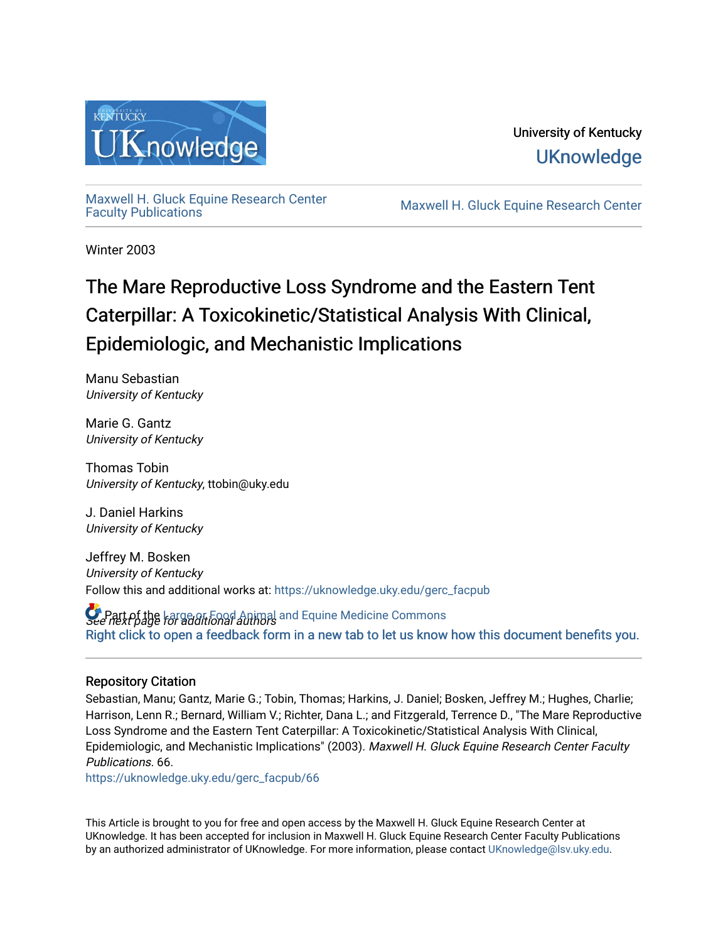

[Maxwell H. Gluck Equine Research Center](https://uknowledge.uky.edu/gerc_facpub)

Maxwell H. Gluck Equine Research Center

Winter 2003

# The Mare Reproductive Loss Syndrome and the Eastern Tent Caterpillar: A Toxicokinetic/Statistical Analysis With Clinical, Epidemiologic, and Mechanistic Implications

Manu Sebastian University of Kentucky

Marie G. Gantz University of Kentucky

Thomas Tobin University of Kentucky, ttobin@uky.edu

J. Daniel Harkins University of Kentucky

Jeffrey M. Bosken University of Kentucky Follow this and additional works at: [https://uknowledge.uky.edu/gerc\\_facpub](https://uknowledge.uky.edu/gerc_facpub?utm_source=uknowledge.uky.edu%2Fgerc_facpub%2F66&utm_medium=PDF&utm_campaign=PDFCoverPages)

**C** Part of the Large or Food Animal and Equine Medicine Commons<br>See next page for additional authors [Right click to open a feedback form in a new tab to let us know how this document benefits you.](https://uky.az1.qualtrics.com/jfe/form/SV_9mq8fx2GnONRfz7)

### Repository Citation

Sebastian, Manu; Gantz, Marie G.; Tobin, Thomas; Harkins, J. Daniel; Bosken, Jeffrey M.; Hughes, Charlie; Harrison, Lenn R.; Bernard, William V.; Richter, Dana L.; and Fitzgerald, Terrence D., "The Mare Reproductive Loss Syndrome and the Eastern Tent Caterpillar: A Toxicokinetic/Statistical Analysis With Clinical, Epidemiologic, and Mechanistic Implications" (2003). Maxwell H. Gluck Equine Research Center Faculty Publications. 66.

[https://uknowledge.uky.edu/gerc\\_facpub/66](https://uknowledge.uky.edu/gerc_facpub/66?utm_source=uknowledge.uky.edu%2Fgerc_facpub%2F66&utm_medium=PDF&utm_campaign=PDFCoverPages) 

This Article is brought to you for free and open access by the Maxwell H. Gluck Equine Research Center at UKnowledge. It has been accepted for inclusion in Maxwell H. Gluck Equine Research Center Faculty Publications by an authorized administrator of UKnowledge. For more information, please contact [UKnowledge@lsv.uky.edu.](mailto:UKnowledge@lsv.uky.edu)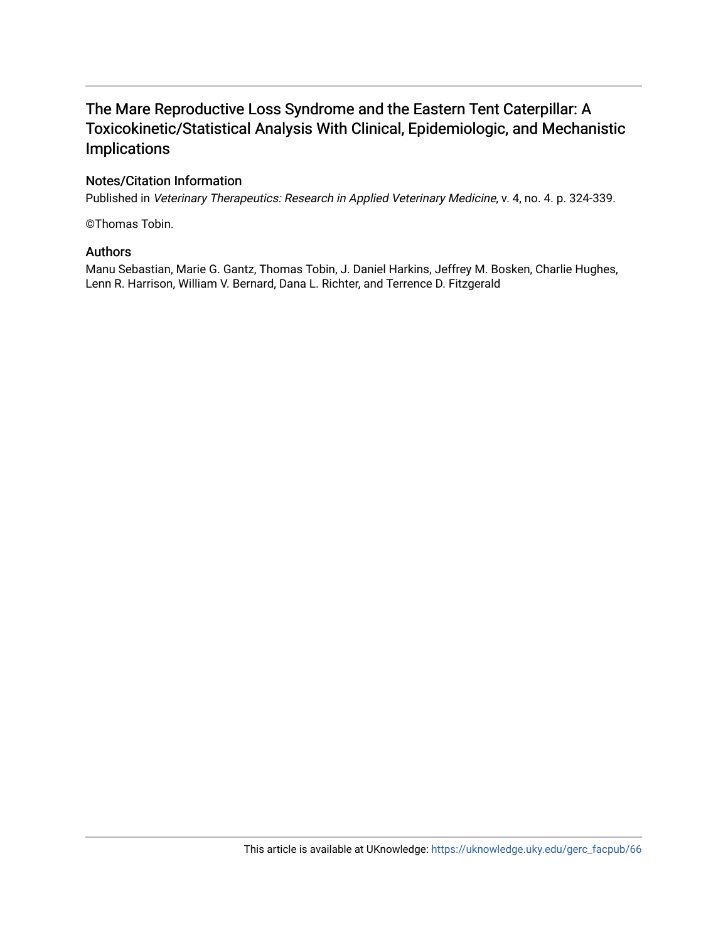## The Mare Reproductive Loss Syndrome and the Eastern Tent Caterpillar: A Toxicokinetic/Statistical Analysis With Clinical, Epidemiologic, and Mechanistic Implications

### Notes/Citation Information

Published in Veterinary Therapeutics: Research in Applied Veterinary Medicine, v. 4, no. 4. p. 324-339.

©Thomas Tobin.

#### Authors

Manu Sebastian, Marie G. Gantz, Thomas Tobin, J. Daniel Harkins, Jeffrey M. Bosken, Charlie Hughes, Lenn R. Harrison, William V. Bernard, Dana L. Richter, and Terrence D. Fitzgerald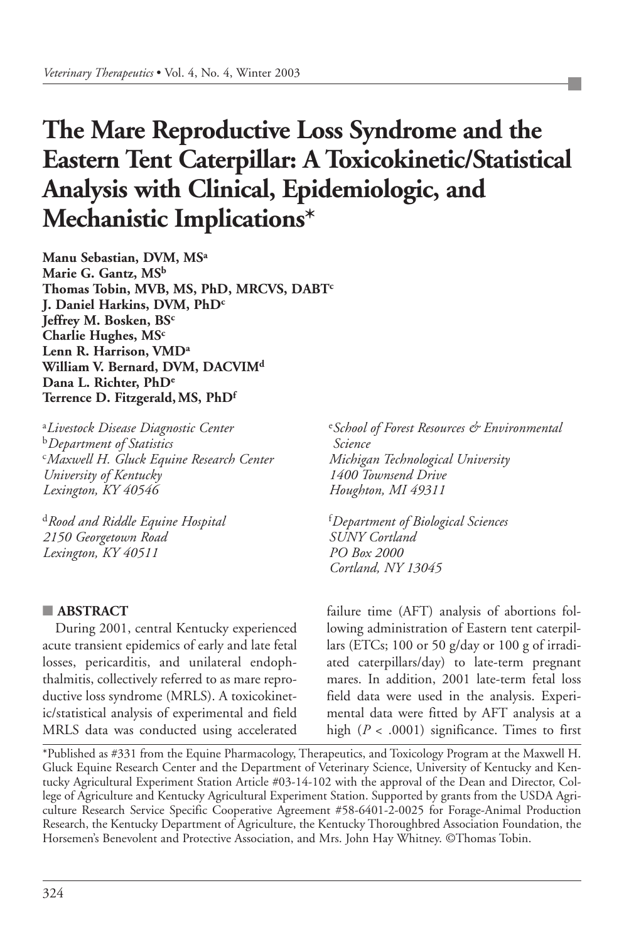# **The Mare Reproductive Loss Syndrome and the Eastern Tent Caterpillar: A Toxicokinetic/Statistical Analysis with Clinical, Epidemiologic, and Mechanistic Implications\***

**Manu Sebastian, DVM, MSa Marie G. Gantz, MSb Thomas Tobin, MVB, MS, PhD, MRCVS, DABTc J. Daniel Harkins, DVM, PhDc Jeffrey M. Bosken, BSc Charlie Hughes, MSc Lenn R. Harrison, VMDa William V. Bernard, DVM, DACVIMd Dana L. Richter, PhDe Terrence D. Fitzgerald, MS, PhDf**

a *Livestock Disease Diagnostic Center* <sup>b</sup>*Department of Statistics* c *Maxwell H. Gluck Equine Research Center University of Kentucky Lexington, KY 40546*

<sup>d</sup>*Rood and Riddle Equine Hospital 2150 Georgetown Road Lexington, KY 40511*

#### **■ ABSTRACT**

During 2001, central Kentucky experienced acute transient epidemics of early and late fetal losses, pericarditis, and unilateral endophthalmitis, collectively referred to as mare reproductive loss syndrome (MRLS). A toxicokinetic/statistical analysis of experimental and field MRLS data was conducted using accelerated

e *School of Forest Resources & Environmental Science Michigan Technological University 1400 Townsend Drive Houghton, MI 49311*

f *Department of Biological Sciences SUNY Cortland PO Box 2000 Cortland, NY 13045*

failure time (AFT) analysis of abortions following administration of Eastern tent caterpillars (ETCs; 100 or 50 g/day or 100 g of irradiated caterpillars/day) to late-term pregnant mares. In addition, 2001 late-term fetal loss field data were used in the analysis. Experimental data were fitted by AFT analysis at a high  $(P < .0001)$  significance. Times to first

\*Published as #331 from the Equine Pharmacology, Therapeutics, and Toxicology Program at the Maxwell H. Gluck Equine Research Center and the Department of Veterinary Science, University of Kentucky and Kentucky Agricultural Experiment Station Article #03-14-102 with the approval of the Dean and Director, College of Agriculture and Kentucky Agricultural Experiment Station. Supported by grants from the USDA Agriculture Research Service Specific Cooperative Agreement #58-6401-2-0025 for Forage-Animal Production Research, the Kentucky Department of Agriculture, the Kentucky Thoroughbred Association Foundation, the Horsemen's Benevolent and Protective Association, and Mrs. John Hay Whitney. ©Thomas Tobin.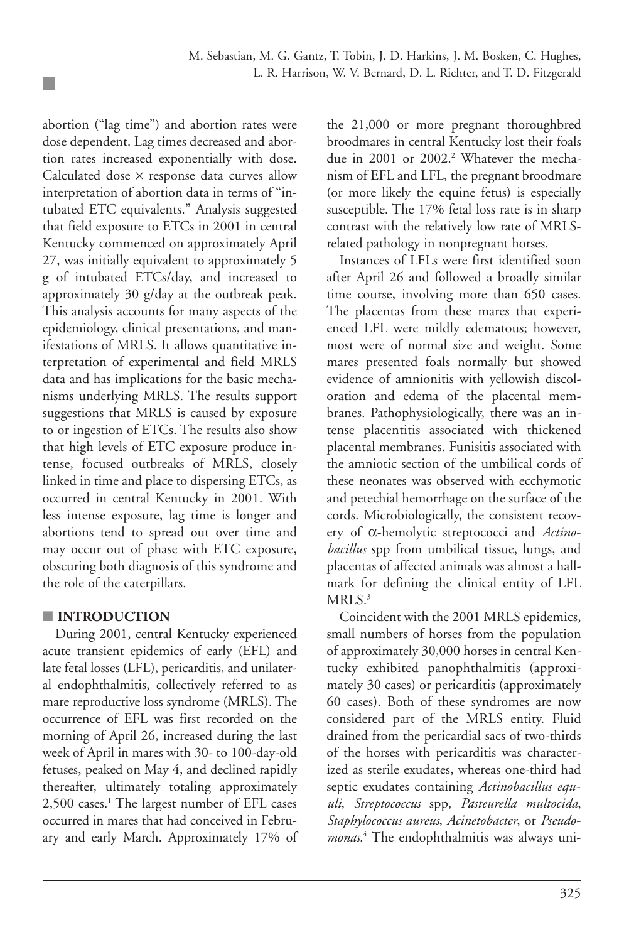abortion ("lag time") and abortion rates were dose dependent. Lag times decreased and abortion rates increased exponentially with dose. Calculated dose × response data curves allow interpretation of abortion data in terms of "intubated ETC equivalents." Analysis suggested that field exposure to ETCs in 2001 in central Kentucky commenced on approximately April 27, was initially equivalent to approximately 5 g of intubated ETCs/day, and increased to approximately 30 g/day at the outbreak peak. This analysis accounts for many aspects of the epidemiology, clinical presentations, and manifestations of MRLS. It allows quantitative interpretation of experimental and field MRLS data and has implications for the basic mechanisms underlying MRLS. The results support suggestions that MRLS is caused by exposure to or ingestion of ETCs. The results also show that high levels of ETC exposure produce intense, focused outbreaks of MRLS, closely linked in time and place to dispersing ETCs, as occurred in central Kentucky in 2001. With less intense exposure, lag time is longer and abortions tend to spread out over time and may occur out of phase with ETC exposure, obscuring both diagnosis of this syndrome and the role of the caterpillars.

#### **■ INTRODUCTION**

During 2001, central Kentucky experienced acute transient epidemics of early (EFL) and late fetal losses (LFL), pericarditis, and unilateral endophthalmitis, collectively referred to as mare reproductive loss syndrome (MRLS). The occurrence of EFL was first recorded on the morning of April 26, increased during the last week of April in mares with 30- to 100-day-old fetuses, peaked on May 4, and declined rapidly thereafter, ultimately totaling approximately 2,500 cases.<sup>1</sup> The largest number of EFL cases occurred in mares that had conceived in February and early March. Approximately 17% of the 21,000 or more pregnant thoroughbred broodmares in central Kentucky lost their foals due in 2001 or 2002.<sup>2</sup> Whatever the mechanism of EFL and LFL, the pregnant broodmare (or more likely the equine fetus) is especially susceptible. The 17% fetal loss rate is in sharp contrast with the relatively low rate of MRLSrelated pathology in nonpregnant horses.

Instances of LFLs were first identified soon after April 26 and followed a broadly similar time course, involving more than 650 cases. The placentas from these mares that experienced LFL were mildly edematous; however, most were of normal size and weight. Some mares presented foals normally but showed evidence of amnionitis with yellowish discoloration and edema of the placental membranes. Pathophysiologically, there was an intense placentitis associated with thickened placental membranes. Funisitis associated with the amniotic section of the umbilical cords of these neonates was observed with ecchymotic and petechial hemorrhage on the surface of the cords. Microbiologically, the consistent recovery of α-hemolytic streptococci and *Actinobacillus* spp from umbilical tissue, lungs, and placentas of affected animals was almost a hallmark for defining the clinical entity of LFL MRLS.<sup>3</sup>

Coincident with the 2001 MRLS epidemics, small numbers of horses from the population of approximately 30,000 horses in central Kentucky exhibited panophthalmitis (approximately 30 cases) or pericarditis (approximately 60 cases). Both of these syndromes are now considered part of the MRLS entity. Fluid drained from the pericardial sacs of two-thirds of the horses with pericarditis was characterized as sterile exudates, whereas one-third had septic exudates containing *Actinobacillus equuli*, *Streptococcus* spp, *Pasteurella multocida*, *Staphylococcus aureus*, *Acinetobacter*, or *Pseudomonas*. <sup>4</sup> The endophthalmitis was always uni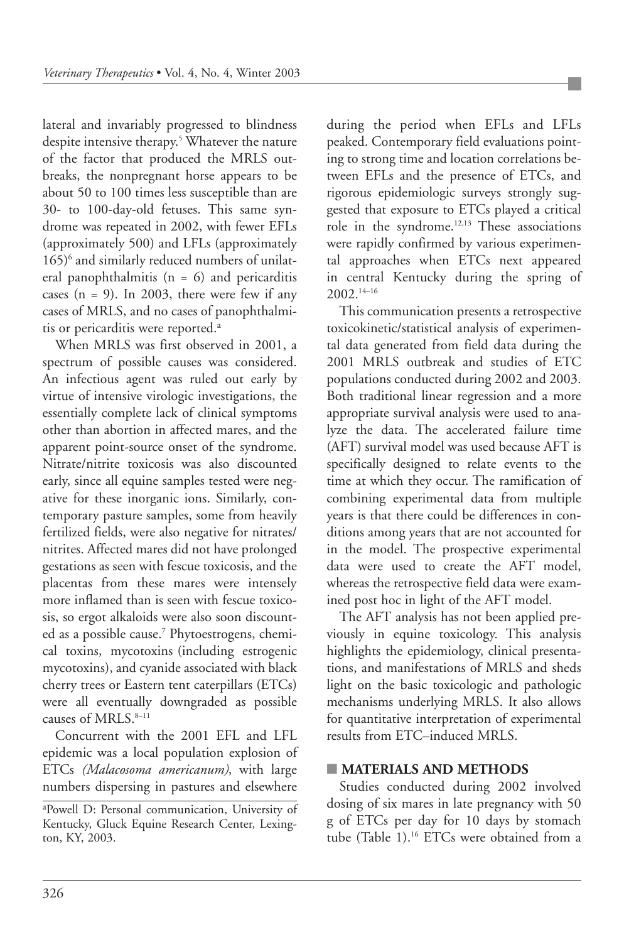lateral and invariably progressed to blindness despite intensive therapy.<sup>5</sup> Whatever the nature of the factor that produced the MRLS outbreaks, the nonpregnant horse appears to be about 50 to 100 times less susceptible than are 30- to 100-day-old fetuses. This same syndrome was repeated in 2002, with fewer EFLs (approximately 500) and LFLs (approximately 165)<sup>6</sup> and similarly reduced numbers of unilateral panophthalmitis  $(n = 6)$  and pericarditis cases  $(n = 9)$ . In 2003, there were few if any cases of MRLS, and no cases of panophthalmitis or pericarditis were reported.<sup>a</sup>

When MRLS was first observed in 2001, a spectrum of possible causes was considered. An infectious agent was ruled out early by virtue of intensive virologic investigations, the essentially complete lack of clinical symptoms other than abortion in affected mares, and the apparent point-source onset of the syndrome. Nitrate/nitrite toxicosis was also discounted early, since all equine samples tested were negative for these inorganic ions. Similarly, contemporary pasture samples, some from heavily fertilized fields, were also negative for nitrates/ nitrites. Affected mares did not have prolonged gestations as seen with fescue toxicosis, and the placentas from these mares were intensely more inflamed than is seen with fescue toxicosis, so ergot alkaloids were also soon discounted as a possible cause.<sup>7</sup> Phytoestrogens, chemical toxins, mycotoxins (including estrogenic mycotoxins), and cyanide associated with black cherry trees or Eastern tent caterpillars (ETCs) were all eventually downgraded as possible causes of MRLS.8–11

Concurrent with the 2001 EFL and LFL epidemic was a local population explosion of ETCs *(Malacosoma americanum)*, with large numbers dispersing in pastures and elsewhere

during the period when EFLs and LFLs peaked. Contemporary field evaluations pointing to strong time and location correlations between EFLs and the presence of ETCs, and rigorous epidemiologic surveys strongly suggested that exposure to ETCs played a critical role in the syndrome.12,13 These associations were rapidly confirmed by various experimental approaches when ETCs next appeared in central Kentucky during the spring of 2002.14–16

This communication presents a retrospective toxicokinetic/statistical analysis of experimental data generated from field data during the 2001 MRLS outbreak and studies of ETC populations conducted during 2002 and 2003. Both traditional linear regression and a more appropriate survival analysis were used to analyze the data. The accelerated failure time (AFT) survival model was used because AFT is specifically designed to relate events to the time at which they occur. The ramification of combining experimental data from multiple years is that there could be differences in conditions among years that are not accounted for in the model. The prospective experimental data were used to create the AFT model, whereas the retrospective field data were examined post hoc in light of the AFT model.

The AFT analysis has not been applied previously in equine toxicology. This analysis highlights the epidemiology, clinical presentations, and manifestations of MRLS and sheds light on the basic toxicologic and pathologic mechanisms underlying MRLS. It also allows for quantitative interpretation of experimental results from ETC–induced MRLS.

#### **■ MATERIALS AND METHODS**

Studies conducted during 2002 involved dosing of six mares in late pregnancy with 50 g of ETCs per day for 10 days by stomach tube (Table 1).16 ETCs were obtained from a

a Powell D: Personal communication, University of Kentucky, Gluck Equine Research Center, Lexington, KY, 2003.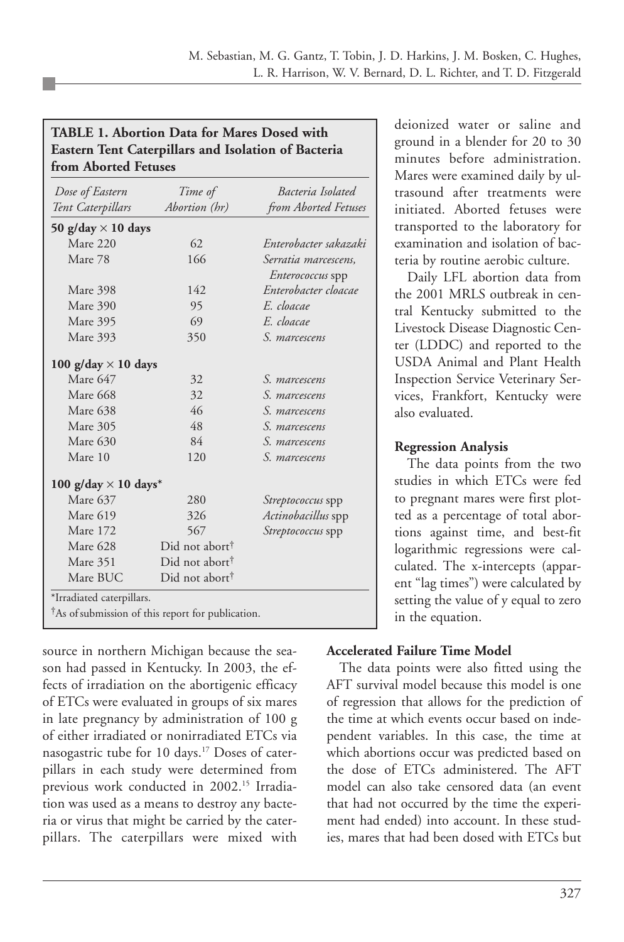#### **TABLE 1. Abortion Data for Mares Dosed with Eastern Tent Caterpillars and Isolation of Bacteria from Aborted Fetuses**

| Dose of Eastern             | Time of                    | Bacteria Isolated         |  |  |
|-----------------------------|----------------------------|---------------------------|--|--|
| Tent Caterpillars           | Abortion (hr)              | from Aborted Fetuses      |  |  |
| 50 g/day $\times$ 10 days   |                            |                           |  |  |
| Mare 220                    | 62                         | Enterobacter sakazaki     |  |  |
| Mare 78                     | 166                        | Serratia marcescens,      |  |  |
|                             |                            | <i>Enterococcus</i> spp   |  |  |
| Mare 398                    | 142                        | Enterobacter cloacae      |  |  |
| Mare 390                    | 95                         | E. cloacae                |  |  |
| Mare 395                    | 69                         | E. cloacae                |  |  |
| Mare 393                    | 350                        | S. marcescens             |  |  |
| 100 g/day $\times$ 10 days  |                            |                           |  |  |
| Mare 647                    | 32                         | S. marcescens             |  |  |
| <b>Mare 668</b>             | 32                         | S. marcescens             |  |  |
| Mare 638                    | 46                         | S. marcescens             |  |  |
| Mare 305                    | 48                         | S. marcescens             |  |  |
| Mare 630                    | 84                         | S. marcescens             |  |  |
| Mare 10                     | 120                        | S. marcescens             |  |  |
| 100 g/day $\times$ 10 days* |                            |                           |  |  |
| Mare 637                    | 280                        | <i>Streptococcus</i> spp  |  |  |
| Mare 619                    | 326                        | <i>Actinobacillus</i> spp |  |  |
| Mare 172                    | 567                        | Streptococcus spp         |  |  |
| Mare 628                    | Did not abort <sup>†</sup> |                           |  |  |
| Mare 351                    | Did not abort <sup>†</sup> |                           |  |  |
| Mare BUC                    | Did not abort <sup>†</sup> |                           |  |  |

source in northern Michigan because the season had passed in Kentucky. In 2003, the effects of irradiation on the abortigenic efficacy of ETCs were evaluated in groups of six mares in late pregnancy by administration of 100 g of either irradiated or nonirradiated ETCs via nasogastric tube for 10 days.<sup>17</sup> Doses of caterpillars in each study were determined from previous work conducted in 2002.<sup>15</sup> Irradiation was used as a means to destroy any bacteria or virus that might be carried by the caterpillars. The caterpillars were mixed with

deionized water or saline and ground in a blender for 20 to 30 minutes before administration. Mares were examined daily by ultrasound after treatments were initiated. Aborted fetuses were transported to the laboratory for examination and isolation of bacteria by routine aerobic culture.

Daily LFL abortion data from the 2001 MRLS outbreak in central Kentucky submitted to the Livestock Disease Diagnostic Center (LDDC) and reported to the USDA Animal and Plant Health Inspection Service Veterinary Services, Frankfort, Kentucky were also evaluated.

#### **Regression Analysis**

The data points from the two studies in which ETCs were fed to pregnant mares were first plotted as a percentage of total abortions against time, and best-fit logarithmic regressions were calculated. The x-intercepts (apparent "lag times") were calculated by setting the value of y equal to zero in the equation.

#### **Accelerated Failure Time Model**

The data points were also fitted using the AFT survival model because this model is one of regression that allows for the prediction of the time at which events occur based on independent variables. In this case, the time at which abortions occur was predicted based on the dose of ETCs administered. The AFT model can also take censored data (an event that had not occurred by the time the experiment had ended) into account. In these studies, mares that had been dosed with ETCs but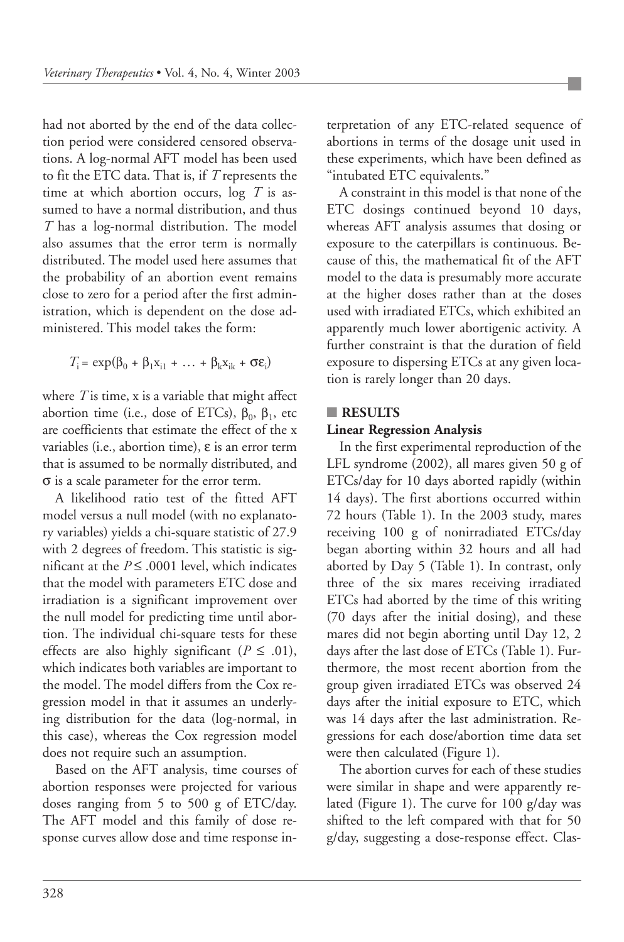had not aborted by the end of the data collection period were considered censored observations. A log-normal AFT model has been used to fit the ETC data. That is, if *T* represents the time at which abortion occurs, log *T* is assumed to have a normal distribution, and thus *T* has a log-normal distribution. The model also assumes that the error term is normally distributed. The model used here assumes that the probability of an abortion event remains close to zero for a period after the first administration, which is dependent on the dose administered. This model takes the form:

$$
T_i = \exp(\beta_0 + \beta_1 x_{i1} + \dots + \beta_k x_{ik} + \sigma \epsilon_i)
$$

where *T* is time, x is a variable that might affect abortion time (i.e., dose of ETCs),  $β_0$ ,  $β_1$ , etc are coefficients that estimate the effect of the x variables (i.e., abortion time), ε is an error term that is assumed to be normally distributed, and σ is a scale parameter for the error term.

A likelihood ratio test of the fitted AFT model versus a null model (with no explanatory variables) yields a chi-square statistic of 27.9 with 2 degrees of freedom. This statistic is significant at the  $P \leq .0001$  level, which indicates that the model with parameters ETC dose and irradiation is a significant improvement over the null model for predicting time until abortion. The individual chi-square tests for these effects are also highly significant ( $P \leq .01$ ), which indicates both variables are important to the model. The model differs from the Cox regression model in that it assumes an underlying distribution for the data (log-normal, in this case), whereas the Cox regression model does not require such an assumption.

Based on the AFT analysis, time courses of abortion responses were projected for various doses ranging from 5 to 500 g of ETC/day. The AFT model and this family of dose response curves allow dose and time response interpretation of any ETC-related sequence of abortions in terms of the dosage unit used in these experiments, which have been defined as "intubated ETC equivalents."

A constraint in this model is that none of the ETC dosings continued beyond 10 days, whereas AFT analysis assumes that dosing or exposure to the caterpillars is continuous. Because of this, the mathematical fit of the AFT model to the data is presumably more accurate at the higher doses rather than at the doses used with irradiated ETCs, which exhibited an apparently much lower abortigenic activity. A further constraint is that the duration of field exposure to dispersing ETCs at any given location is rarely longer than 20 days.

#### **■ RESULTS**

#### **Linear Regression Analysis**

In the first experimental reproduction of the LFL syndrome (2002), all mares given 50 g of ETCs/day for 10 days aborted rapidly (within 14 days). The first abortions occurred within 72 hours (Table 1). In the 2003 study, mares receiving 100 g of nonirradiated ETCs/day began aborting within 32 hours and all had aborted by Day 5 (Table 1). In contrast, only three of the six mares receiving irradiated ETCs had aborted by the time of this writing (70 days after the initial dosing), and these mares did not begin aborting until Day 12, 2 days after the last dose of ETCs (Table 1). Furthermore, the most recent abortion from the group given irradiated ETCs was observed 24 days after the initial exposure to ETC, which was 14 days after the last administration. Regressions for each dose/abortion time data set were then calculated (Figure 1).

The abortion curves for each of these studies were similar in shape and were apparently related (Figure 1). The curve for 100 g/day was shifted to the left compared with that for 50 g/day, suggesting a dose-response effect. Clas-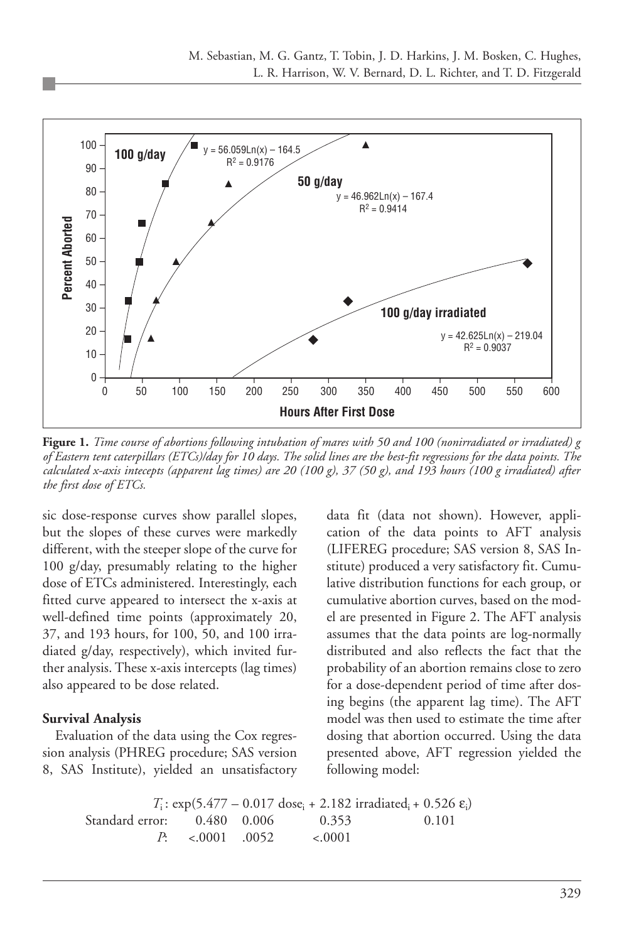

**Figure 1.** *Time course of abortions following intubation of mares with 50 and 100 (nonirradiated or irradiated) g of Eastern tent caterpillars (ETCs)/day for 10 days. The solid lines are the best-fit regressions for the data points. The calculated x-axis intecepts (apparent lag times) are 20 (100 g), 37 (50 g), and 193 hours (100 g irradiated) after the first dose of ETCs.*

sic dose-response curves show parallel slopes, but the slopes of these curves were markedly different, with the steeper slope of the curve for 100 g/day, presumably relating to the higher dose of ETCs administered. Interestingly, each fitted curve appeared to intersect the x-axis at well-defined time points (approximately 20, 37, and 193 hours, for 100, 50, and 100 irradiated g/day, respectively), which invited further analysis. These x-axis intercepts (lag times) also appeared to be dose related.

#### **Survival Analysis**

Evaluation of the data using the Cox regression analysis (PHREG procedure; SAS version 8, SAS Institute), yielded an unsatisfactory

data fit (data not shown). However, application of the data points to AFT analysis (LIFEREG procedure; SAS version 8, SAS Institute) produced a very satisfactory fit. Cumulative distribution functions for each group, or cumulative abortion curves, based on the model are presented in Figure 2. The AFT analysis assumes that the data points are log-normally distributed and also reflects the fact that the probability of an abortion remains close to zero for a dose-dependent period of time after dosing begins (the apparent lag time). The AFT model was then used to estimate the time after dosing that abortion occurred. Using the data presented above, AFT regression yielded the following model:

 $T_i$ : exp(5.477 – 0.017 dose<sub>i</sub> + 2.182 irradiated<sub>i</sub> + 0.526 ε<sub>i</sub>) Standard error: 0.480 0.006 0.353 0.101 *P*: <.0001 .0052 <.0001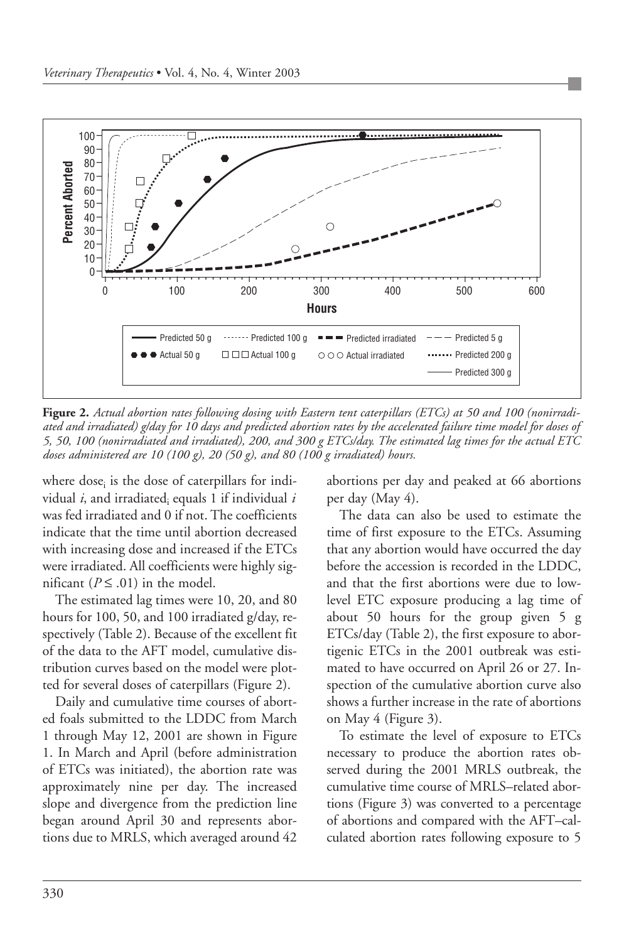

**Figure 2.** *Actual abortion rates following dosing with Eastern tent caterpillars (ETCs) at 50 and 100 (nonirradiated and irradiated) g/day for 10 days and predicted abortion rates by the accelerated failure time model for doses of 5, 50, 100 (nonirradiated and irradiated), 200, and 300 g ETCs/day. The estimated lag times for the actual ETC doses administered are 10 (100 g), 20 (50 g), and 80 (100 g irradiated) hours.*

where dose<sub>i</sub> is the dose of caterpillars for individual *i*, and irradiatedi equals 1 if individual *i* was fed irradiated and 0 if not. The coefficients indicate that the time until abortion decreased with increasing dose and increased if the ETCs were irradiated. All coefficients were highly significant ( $P \leq .01$ ) in the model.

The estimated lag times were 10, 20, and 80 hours for 100, 50, and 100 irradiated g/day, respectively (Table 2). Because of the excellent fit of the data to the AFT model, cumulative distribution curves based on the model were plotted for several doses of caterpillars (Figure 2).

Daily and cumulative time courses of aborted foals submitted to the LDDC from March 1 through May 12, 2001 are shown in Figure 1. In March and April (before administration of ETCs was initiated), the abortion rate was approximately nine per day. The increased slope and divergence from the prediction line began around April 30 and represents abortions due to MRLS, which averaged around 42 abortions per day and peaked at 66 abortions per day (May 4).

The data can also be used to estimate the time of first exposure to the ETCs. Assuming that any abortion would have occurred the day before the accession is recorded in the LDDC, and that the first abortions were due to lowlevel ETC exposure producing a lag time of about 50 hours for the group given 5 g ETCs/day (Table 2), the first exposure to abortigenic ETCs in the 2001 outbreak was estimated to have occurred on April 26 or 27. Inspection of the cumulative abortion curve also shows a further increase in the rate of abortions on May 4 (Figure 3).

To estimate the level of exposure to ETCs necessary to produce the abortion rates observed during the 2001 MRLS outbreak, the cumulative time course of MRLS–related abortions (Figure 3) was converted to a percentage of abortions and compared with the AFT–calculated abortion rates following exposure to 5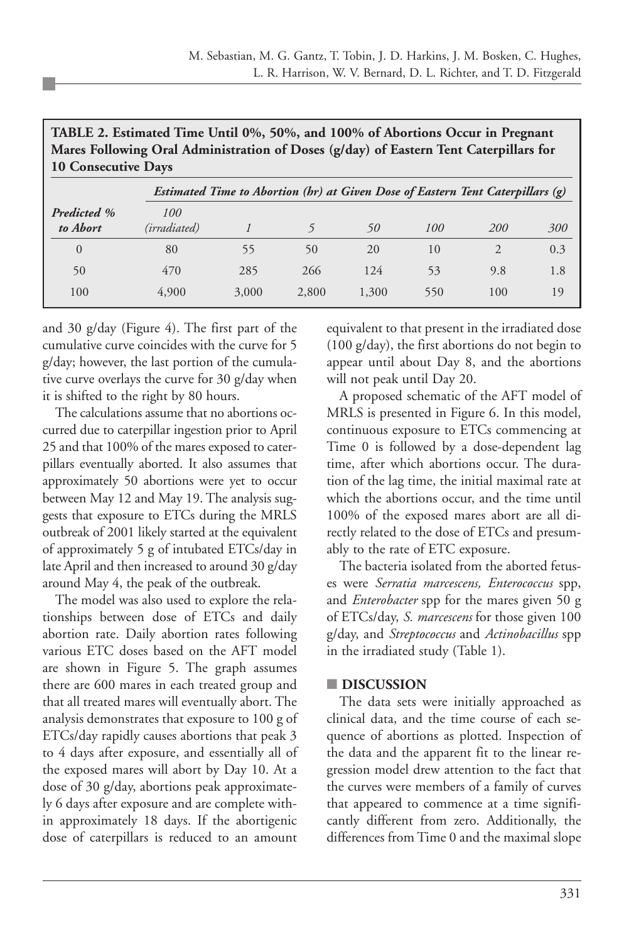| mares Following Oral Administration of Doses (g/day) of Eastern Tent Caterpinals for<br><b>10 Consecutive Days</b> |                                                                                |       |       |       |     |                |     |  |  |
|--------------------------------------------------------------------------------------------------------------------|--------------------------------------------------------------------------------|-------|-------|-------|-----|----------------|-----|--|--|
|                                                                                                                    | Estimated Time to Abortion (br) at Given Dose of Eastern Tent Caterpillars (g) |       |       |       |     |                |     |  |  |
| <b>Predicted</b> %<br>to Abort                                                                                     | 100<br>(irradiated)                                                            |       |       | 50    | 100 | 200            | 300 |  |  |
| $\overline{0}$                                                                                                     | 80                                                                             | 55    | 50    | 20    | 10  | $\mathfrak{D}$ | 0.3 |  |  |
| 50                                                                                                                 | 470                                                                            | 285   | 266   | 124   | 53  | 9.8            | 1.8 |  |  |
| 100                                                                                                                | 4,900                                                                          | 3,000 | 2,800 | 1,300 | 550 | 100            | 19  |  |  |

**TABLE 2. Estimated Time Until 0%, 50%, and 100% of Abortions Occur in Pregnant Mares Following Oral Administration of Doses (g/day) of Eastern Tent Caterpillars for**

and 30 g/day (Figure 4). The first part of the cumulative curve coincides with the curve for 5 g/day; however, the last portion of the cumulative curve overlays the curve for 30 g/day when it is shifted to the right by 80 hours.

The calculations assume that no abortions occurred due to caterpillar ingestion prior to April 25 and that 100% of the mares exposed to caterpillars eventually aborted. It also assumes that approximately 50 abortions were yet to occur between May 12 and May 19. The analysis suggests that exposure to ETCs during the MRLS outbreak of 2001 likely started at the equivalent of approximately 5 g of intubated ETCs/day in late April and then increased to around 30 g/day around May 4, the peak of the outbreak.

The model was also used to explore the relationships between dose of ETCs and daily abortion rate. Daily abortion rates following various ETC doses based on the AFT model are shown in Figure 5. The graph assumes there are 600 mares in each treated group and that all treated mares will eventually abort. The analysis demonstrates that exposure to 100 g of ETCs/day rapidly causes abortions that peak 3 to 4 days after exposure, and essentially all of the exposed mares will abort by Day 10. At a dose of 30 g/day, abortions peak approximately 6 days after exposure and are complete within approximately 18 days. If the abortigenic dose of caterpillars is reduced to an amount

equivalent to that present in the irradiated dose (100 g/day), the first abortions do not begin to appear until about Day 8, and the abortions will not peak until Day 20.

A proposed schematic of the AFT model of MRLS is presented in Figure 6. In this model, continuous exposure to ETCs commencing at Time 0 is followed by a dose-dependent lag time, after which abortions occur. The duration of the lag time, the initial maximal rate at which the abortions occur, and the time until 100% of the exposed mares abort are all directly related to the dose of ETCs and presumably to the rate of ETC exposure.

The bacteria isolated from the aborted fetuses were *Serratia marcescens, Enterococcus* spp, and *Enterobacter* spp for the mares given 50 g of ETCs/day, *S. marcescens* for those given 100 g/day, and *Streptococcus* and *Actinobacillus* spp in the irradiated study (Table 1).

#### **■ DISCUSSION**

The data sets were initially approached as clinical data, and the time course of each sequence of abortions as plotted. Inspection of the data and the apparent fit to the linear regression model drew attention to the fact that the curves were members of a family of curves that appeared to commence at a time significantly different from zero. Additionally, the differences from Time 0 and the maximal slope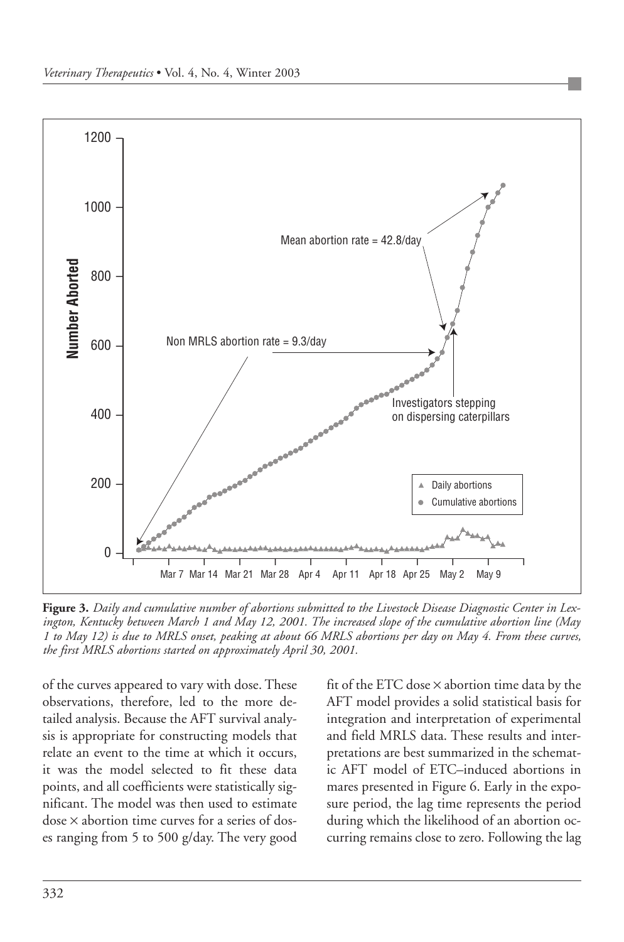

**Figure 3.** *Daily and cumulative number of abortions submitted to the Livestock Disease Diagnostic Center in Lexington, Kentucky between March 1 and May 12, 2001. The increased slope of the cumulative abortion line (May 1 to May 12) is due to MRLS onset, peaking at about 66 MRLS abortions per day on May 4. From these curves, the first MRLS abortions started on approximately April 30, 2001.* 

of the curves appeared to vary with dose. These observations, therefore, led to the more detailed analysis. Because the AFT survival analysis is appropriate for constructing models that relate an event to the time at which it occurs, it was the model selected to fit these data points, and all coefficients were statistically significant. The model was then used to estimate dose × abortion time curves for a series of doses ranging from 5 to 500 g/day. The very good fit of the ETC dose × abortion time data by the AFT model provides a solid statistical basis for integration and interpretation of experimental and field MRLS data. These results and interpretations are best summarized in the schematic AFT model of ETC–induced abortions in mares presented in Figure 6. Early in the exposure period, the lag time represents the period during which the likelihood of an abortion occurring remains close to zero. Following the lag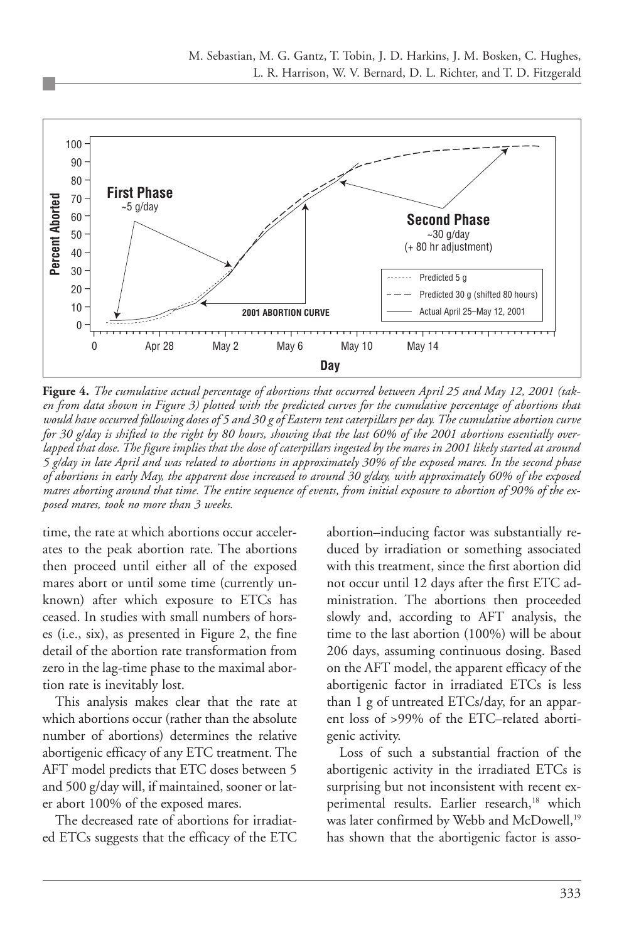

**Figure 4.** *The cumulative actual percentage of abortions that occurred between April 25 and May 12, 2001 (taken from data shown in Figure 3) plotted with the predicted curves for the cumulative percentage of abortions that would have occurred following doses of 5 and 30 g of Eastern tent caterpillars per day. The cumulative abortion curve for 30 g/day is shifted to the right by 80 hours, showing that the last 60% of the 2001 abortions essentially overlapped that dose. The figure implies that the dose of caterpillars ingested by the mares in 2001 likely started at around 5 g/day in late April and was related to abortions in approximately 30% of the exposed mares. In the second phase of abortions in early May, the apparent dose increased to around 30 g/day, with approximately 60% of the exposed mares aborting around that time. The entire sequence of events, from initial exposure to abortion of 90% of the exposed mares, took no more than 3 weeks.* 

time, the rate at which abortions occur accelerates to the peak abortion rate. The abortions then proceed until either all of the exposed mares abort or until some time (currently unknown) after which exposure to ETCs has ceased. In studies with small numbers of horses (i.e., six), as presented in Figure 2, the fine detail of the abortion rate transformation from zero in the lag-time phase to the maximal abortion rate is inevitably lost.

This analysis makes clear that the rate at which abortions occur (rather than the absolute number of abortions) determines the relative abortigenic efficacy of any ETC treatment. The AFT model predicts that ETC doses between 5 and 500 g/day will, if maintained, sooner or later abort 100% of the exposed mares.

The decreased rate of abortions for irradiated ETCs suggests that the efficacy of the ETC abortion–inducing factor was substantially reduced by irradiation or something associated with this treatment, since the first abortion did not occur until 12 days after the first ETC administration. The abortions then proceeded slowly and, according to AFT analysis, the time to the last abortion (100%) will be about 206 days, assuming continuous dosing. Based on the AFT model, the apparent efficacy of the abortigenic factor in irradiated ETCs is less than 1 g of untreated ETCs/day, for an apparent loss of >99% of the ETC–related abortigenic activity.

Loss of such a substantial fraction of the abortigenic activity in the irradiated ETCs is surprising but not inconsistent with recent experimental results. Earlier research,<sup>18</sup> which was later confirmed by Webb and McDowell,<sup>19</sup> has shown that the abortigenic factor is asso-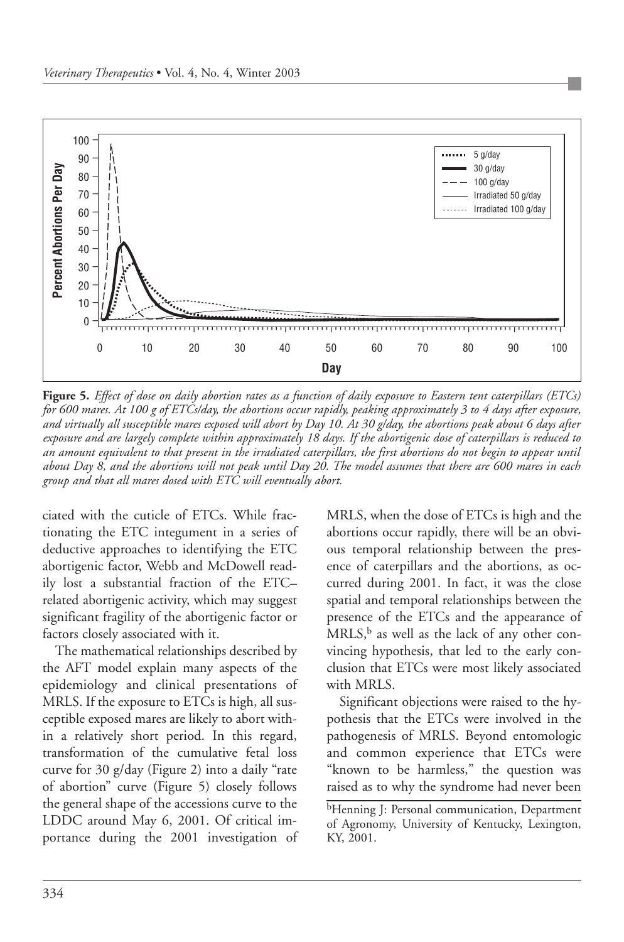

**Figure 5.** *Effect of dose on daily abortion rates as a function of daily exposure to Eastern tent caterpillars (ETCs) for 600 mares. At 100 g of ETCs/day, the abortions occur rapidly, peaking approximately 3 to 4 days after exposure, and virtually all susceptible mares exposed will abort by Day 10. At 30 g/day, the abortions peak about 6 days after exposure and are largely complete within approximately 18 days. If the abortigenic dose of caterpillars is reduced to an amount equivalent to that present in the irradiated caterpillars, the first abortions do not begin to appear until about Day 8, and the abortions will not peak until Day 20. The model assumes that there are 600 mares in each group and that all mares dosed with ETC will eventually abort.*

ciated with the cuticle of ETCs. While fractionating the ETC integument in a series of deductive approaches to identifying the ETC abortigenic factor, Webb and McDowell readily lost a substantial fraction of the ETC– related abortigenic activity, which may suggest significant fragility of the abortigenic factor or factors closely associated with it.

The mathematical relationships described by the AFT model explain many aspects of the epidemiology and clinical presentations of MRLS. If the exposure to ETCs is high, all susceptible exposed mares are likely to abort within a relatively short period. In this regard, transformation of the cumulative fetal loss curve for 30 g/day (Figure 2) into a daily "rate of abortion" curve (Figure 5) closely follows the general shape of the accessions curve to the LDDC around May 6, 2001. Of critical importance during the 2001 investigation of MRLS, when the dose of ETCs is high and the abortions occur rapidly, there will be an obvious temporal relationship between the presence of caterpillars and the abortions, as occurred during 2001. In fact, it was the close spatial and temporal relationships between the presence of the ETCs and the appearance of  $MRLS$ <sup>b</sup> as well as the lack of any other convincing hypothesis, that led to the early conclusion that ETCs were most likely associated with MRLS.

Significant objections were raised to the hypothesis that the ETCs were involved in the pathogenesis of MRLS. Beyond entomologic and common experience that ETCs were "known to be harmless," the question was raised as to why the syndrome had never been

<sup>&</sup>lt;sup>b</sup>Henning J: Personal communication, Department of Agronomy, University of Kentucky, Lexington, KY, 2001.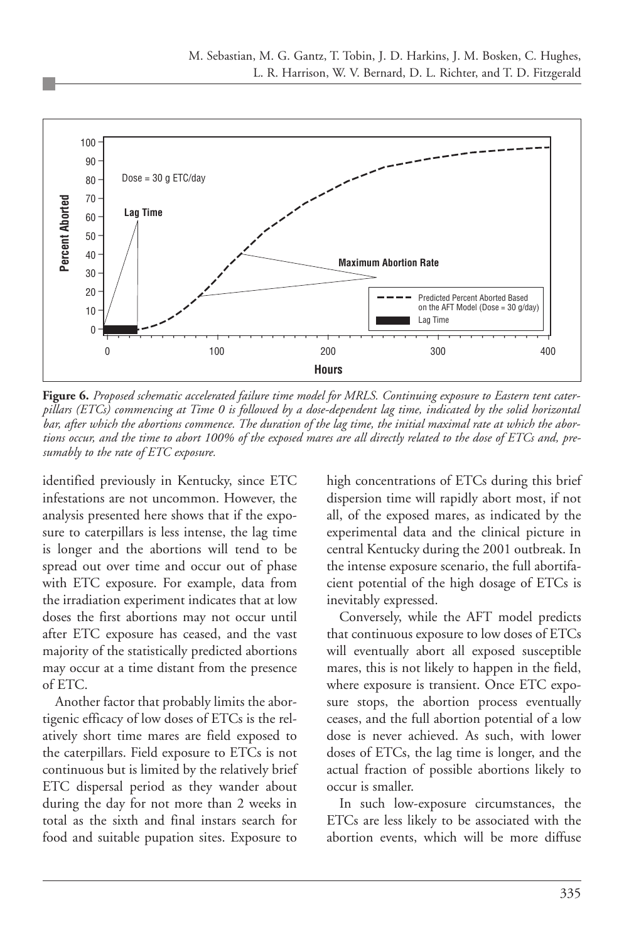

**Figure 6.** *Proposed schematic accelerated failure time model for MRLS. Continuing exposure to Eastern tent caterpillars (ETCs) commencing at Time 0 is followed by a dose-dependent lag time, indicated by the solid horizontal bar, after which the abortions commence. The duration of the lag time, the initial maximal rate at which the abortions occur, and the time to abort 100% of the exposed mares are all directly related to the dose of ETCs and, presumably to the rate of ETC exposure.*

identified previously in Kentucky, since ETC infestations are not uncommon. However, the analysis presented here shows that if the exposure to caterpillars is less intense, the lag time is longer and the abortions will tend to be spread out over time and occur out of phase with ETC exposure. For example, data from the irradiation experiment indicates that at low doses the first abortions may not occur until after ETC exposure has ceased, and the vast majority of the statistically predicted abortions may occur at a time distant from the presence of ETC.

Another factor that probably limits the abortigenic efficacy of low doses of ETCs is the relatively short time mares are field exposed to the caterpillars. Field exposure to ETCs is not continuous but is limited by the relatively brief ETC dispersal period as they wander about during the day for not more than 2 weeks in total as the sixth and final instars search for food and suitable pupation sites. Exposure to

high concentrations of ETCs during this brief dispersion time will rapidly abort most, if not all, of the exposed mares, as indicated by the experimental data and the clinical picture in central Kentucky during the 2001 outbreak. In the intense exposure scenario, the full abortifacient potential of the high dosage of ETCs is inevitably expressed.

Conversely, while the AFT model predicts that continuous exposure to low doses of ETCs will eventually abort all exposed susceptible mares, this is not likely to happen in the field, where exposure is transient. Once ETC exposure stops, the abortion process eventually ceases, and the full abortion potential of a low dose is never achieved. As such, with lower doses of ETCs, the lag time is longer, and the actual fraction of possible abortions likely to occur is smaller.

In such low-exposure circumstances, the ETCs are less likely to be associated with the abortion events, which will be more diffuse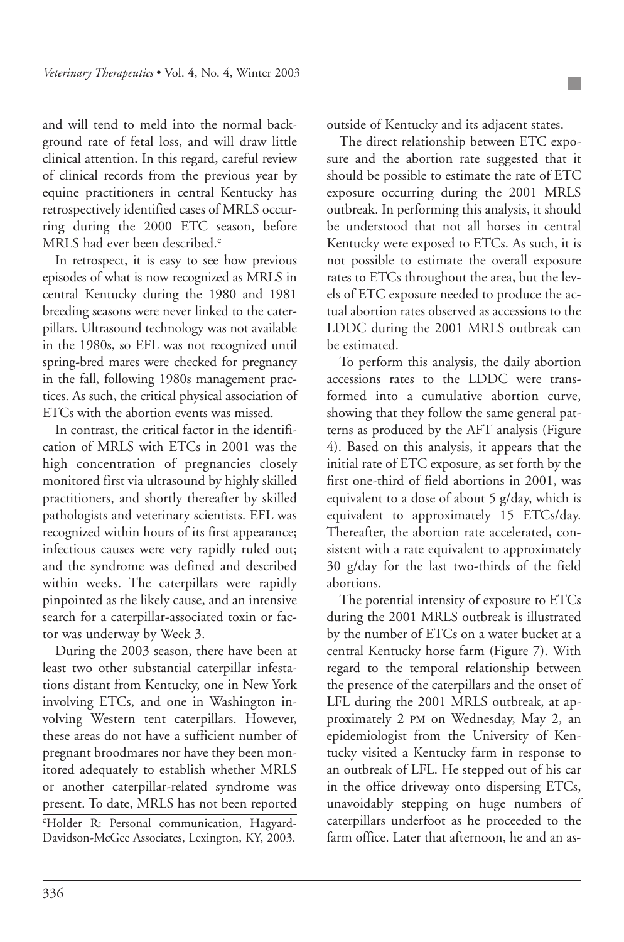and will tend to meld into the normal background rate of fetal loss, and will draw little clinical attention. In this regard, careful review of clinical records from the previous year by equine practitioners in central Kentucky has retrospectively identified cases of MRLS occurring during the 2000 ETC season, before MRLS had ever been described.<sup>c</sup>

In retrospect, it is easy to see how previous episodes of what is now recognized as MRLS in central Kentucky during the 1980 and 1981 breeding seasons were never linked to the caterpillars. Ultrasound technology was not available in the 1980s, so EFL was not recognized until spring-bred mares were checked for pregnancy in the fall, following 1980s management practices. As such, the critical physical association of ETCs with the abortion events was missed.

In contrast, the critical factor in the identification of MRLS with ETCs in 2001 was the high concentration of pregnancies closely monitored first via ultrasound by highly skilled practitioners, and shortly thereafter by skilled pathologists and veterinary scientists. EFL was recognized within hours of its first appearance; infectious causes were very rapidly ruled out; and the syndrome was defined and described within weeks. The caterpillars were rapidly pinpointed as the likely cause, and an intensive search for a caterpillar-associated toxin or factor was underway by Week 3.

During the 2003 season, there have been at least two other substantial caterpillar infestations distant from Kentucky, one in New York involving ETCs, and one in Washington involving Western tent caterpillars. However, these areas do not have a sufficient number of pregnant broodmares nor have they been monitored adequately to establish whether MRLS or another caterpillar-related syndrome was present. To date, MRLS has not been reported c Holder R: Personal communication, Hagyard-Davidson-McGee Associates, Lexington, KY, 2003.

outside of Kentucky and its adjacent states.

The direct relationship between ETC exposure and the abortion rate suggested that it should be possible to estimate the rate of ETC exposure occurring during the 2001 MRLS outbreak. In performing this analysis, it should be understood that not all horses in central Kentucky were exposed to ETCs. As such, it is not possible to estimate the overall exposure rates to ETCs throughout the area, but the levels of ETC exposure needed to produce the actual abortion rates observed as accessions to the LDDC during the 2001 MRLS outbreak can be estimated.

To perform this analysis, the daily abortion accessions rates to the LDDC were transformed into a cumulative abortion curve, showing that they follow the same general patterns as produced by the AFT analysis (Figure 4). Based on this analysis, it appears that the initial rate of ETC exposure, as set forth by the first one-third of field abortions in 2001, was equivalent to a dose of about 5 g/day, which is equivalent to approximately 15 ETCs/day. Thereafter, the abortion rate accelerated, consistent with a rate equivalent to approximately 30 g/day for the last two-thirds of the field abortions.

The potential intensity of exposure to ETCs during the 2001 MRLS outbreak is illustrated by the number of ETCs on a water bucket at a central Kentucky horse farm (Figure 7). With regard to the temporal relationship between the presence of the caterpillars and the onset of LFL during the 2001 MRLS outbreak, at approximately 2 PM on Wednesday, May 2, an epidemiologist from the University of Kentucky visited a Kentucky farm in response to an outbreak of LFL. He stepped out of his car in the office driveway onto dispersing ETCs, unavoidably stepping on huge numbers of caterpillars underfoot as he proceeded to the farm office. Later that afternoon, he and an as-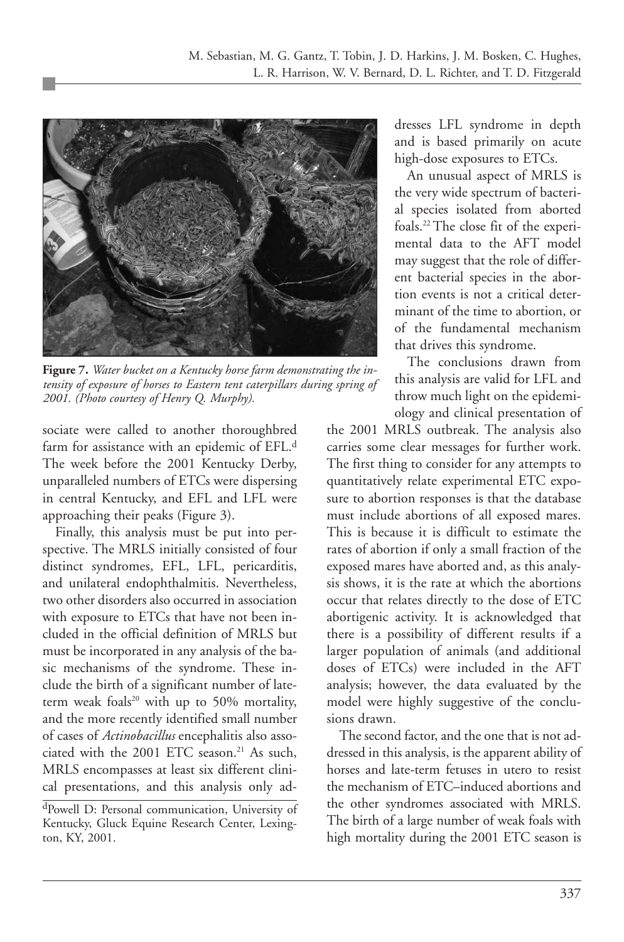

**Figure 7.** *Water bucket on a Kentucky horse farm demonstrating the intensity of exposure of horses to Eastern tent caterpillars during spring of 2001. (Photo courtesy of Henry Q. Murphy).*

sociate were called to another thoroughbred farm for assistance with an epidemic of EFL.<sup>d</sup> The week before the 2001 Kentucky Derby, unparalleled numbers of ETCs were dispersing in central Kentucky, and EFL and LFL were approaching their peaks (Figure 3).

Finally, this analysis must be put into perspective. The MRLS initially consisted of four distinct syndromes, EFL, LFL, pericarditis, and unilateral endophthalmitis. Nevertheless, two other disorders also occurred in association with exposure to ETCs that have not been included in the official definition of MRLS but must be incorporated in any analysis of the basic mechanisms of the syndrome. These include the birth of a significant number of lateterm weak foals<sup>20</sup> with up to 50% mortality, and the more recently identified small number of cases of *Actinobacillus* encephalitis also associated with the 2001 ETC season.<sup>21</sup> As such, MRLS encompasses at least six different clinical presentations, and this analysis only addresses LFL syndrome in depth and is based primarily on acute high-dose exposures to ETCs.

An unusual aspect of MRLS is the very wide spectrum of bacterial species isolated from aborted foals.22 The close fit of the experimental data to the AFT model may suggest that the role of different bacterial species in the abortion events is not a critical determinant of the time to abortion, or of the fundamental mechanism that drives this syndrome.

The conclusions drawn from this analysis are valid for LFL and throw much light on the epidemiology and clinical presentation of

the 2001 MRLS outbreak. The analysis also carries some clear messages for further work. The first thing to consider for any attempts to quantitatively relate experimental ETC exposure to abortion responses is that the database must include abortions of all exposed mares. This is because it is difficult to estimate the rates of abortion if only a small fraction of the exposed mares have aborted and, as this analysis shows, it is the rate at which the abortions occur that relates directly to the dose of ETC abortigenic activity. It is acknowledged that there is a possibility of different results if a larger population of animals (and additional doses of ETCs) were included in the AFT analysis; however, the data evaluated by the model were highly suggestive of the conclusions drawn.

The second factor, and the one that is not addressed in this analysis, is the apparent ability of horses and late-term fetuses in utero to resist the mechanism of ETC–induced abortions and the other syndromes associated with MRLS. The birth of a large number of weak foals with high mortality during the 2001 ETC season is

dPowell D: Personal communication, University of Kentucky, Gluck Equine Research Center, Lexington, KY, 2001.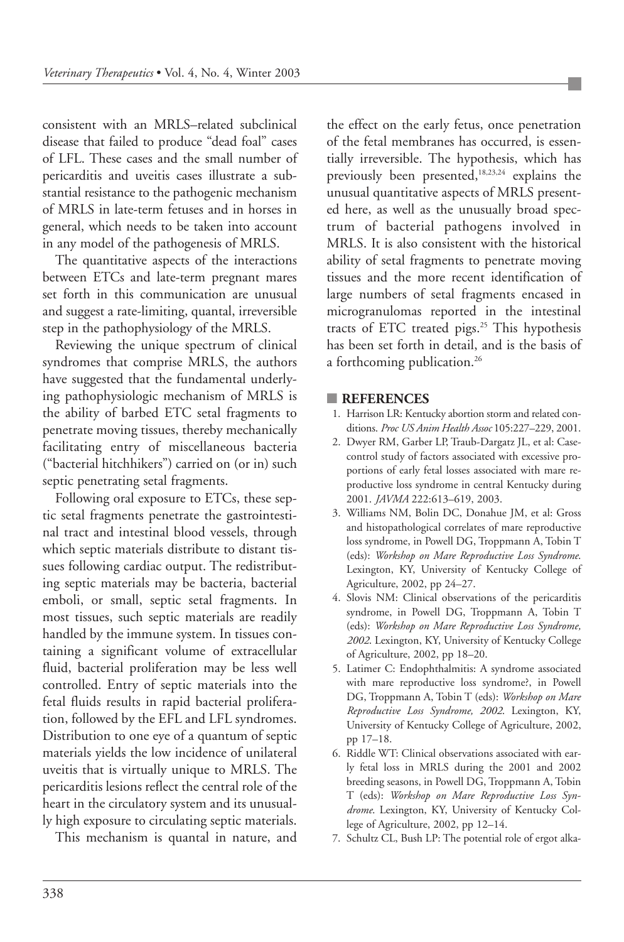consistent with an MRLS–related subclinical disease that failed to produce "dead foal" cases of LFL. These cases and the small number of pericarditis and uveitis cases illustrate a substantial resistance to the pathogenic mechanism of MRLS in late-term fetuses and in horses in general, which needs to be taken into account in any model of the pathogenesis of MRLS.

The quantitative aspects of the interactions between ETCs and late-term pregnant mares set forth in this communication are unusual and suggest a rate-limiting, quantal, irreversible step in the pathophysiology of the MRLS.

Reviewing the unique spectrum of clinical syndromes that comprise MRLS, the authors have suggested that the fundamental underlying pathophysiologic mechanism of MRLS is the ability of barbed ETC setal fragments to penetrate moving tissues, thereby mechanically facilitating entry of miscellaneous bacteria ("bacterial hitchhikers") carried on (or in) such septic penetrating setal fragments.

Following oral exposure to ETCs, these septic setal fragments penetrate the gastrointestinal tract and intestinal blood vessels, through which septic materials distribute to distant tissues following cardiac output. The redistributing septic materials may be bacteria, bacterial emboli, or small, septic setal fragments. In most tissues, such septic materials are readily handled by the immune system. In tissues containing a significant volume of extracellular fluid, bacterial proliferation may be less well controlled. Entry of septic materials into the fetal fluids results in rapid bacterial proliferation, followed by the EFL and LFL syndromes. Distribution to one eye of a quantum of septic materials yields the low incidence of unilateral uveitis that is virtually unique to MRLS. The pericarditis lesions reflect the central role of the heart in the circulatory system and its unusually high exposure to circulating septic materials.

This mechanism is quantal in nature, and

the effect on the early fetus, once penetration of the fetal membranes has occurred, is essentially irreversible. The hypothesis, which has previously been presented,<sup>18,23,24</sup> explains the unusual quantitative aspects of MRLS presented here, as well as the unusually broad spectrum of bacterial pathogens involved in MRLS. It is also consistent with the historical ability of setal fragments to penetrate moving tissues and the more recent identification of large numbers of setal fragments encased in microgranulomas reported in the intestinal tracts of ETC treated pigs.<sup>25</sup> This hypothesis has been set forth in detail, and is the basis of a forthcoming publication.<sup>26</sup>

#### **■ REFERENCES**

- 1. Harrison LR: Kentucky abortion storm and related conditions. *Proc US Anim Health Assoc* 105:227–229, 2001.
- 2. Dwyer RM, Garber LP, Traub-Dargatz JL, et al: Casecontrol study of factors associated with excessive proportions of early fetal losses associated with mare reproductive loss syndrome in central Kentucky during 2001. *JAVMA* 222:613–619, 2003.
- 3. Williams NM, Bolin DC, Donahue JM, et al: Gross and histopathological correlates of mare reproductive loss syndrome, in Powell DG, Troppmann A, Tobin T (eds): *Workshop on Mare Reproductive Loss Syndrome*. Lexington, KY, University of Kentucky College of Agriculture, 2002, pp 24–27.
- 4. Slovis NM: Clinical observations of the pericarditis syndrome, in Powell DG, Troppmann A, Tobin T (eds): *Workshop on Mare Reproductive Loss Syndrome, 2002*. Lexington, KY, University of Kentucky College of Agriculture, 2002, pp 18–20.
- 5. Latimer C: Endophthalmitis: A syndrome associated with mare reproductive loss syndrome?, in Powell DG, Troppmann A, Tobin T (eds): *Workshop on Mare Reproductive Loss Syndrome, 2002*. Lexington, KY, University of Kentucky College of Agriculture, 2002, pp 17–18.
- 6. Riddle WT: Clinical observations associated with early fetal loss in MRLS during the 2001 and 2002 breeding seasons, in Powell DG, Troppmann A, Tobin T (eds): *Workshop on Mare Reproductive Loss Syndrome*. Lexington, KY, University of Kentucky College of Agriculture, 2002, pp 12–14.
- 7. Schultz CL, Bush LP: The potential role of ergot alka-